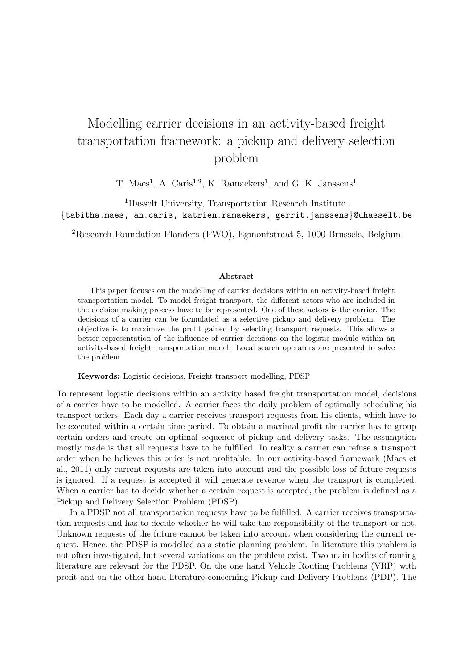## Modelling carrier decisions in an activity-based freight transportation framework: a pickup and delivery selection problem

T. Maes<sup>1</sup>, A. Caris<sup>1,2</sup>, K. Ramaekers<sup>1</sup>, and G. K. Janssens<sup>1</sup>

<sup>1</sup>Hasselt University, Transportation Research Institute, {tabitha.maes, an.caris, katrien.ramaekers, gerrit.janssens}@uhasselt.be

<sup>2</sup>Research Foundation Flanders (FWO), Egmontstraat 5, 1000 Brussels, Belgium

## Abstract

This paper focuses on the modelling of carrier decisions within an activity-based freight transportation model. To model freight transport, the different actors who are included in the decision making process have to be represented. One of these actors is the carrier. The decisions of a carrier can be formulated as a selective pickup and delivery problem. The objective is to maximize the profit gained by selecting transport requests. This allows a better representation of the influence of carrier decisions on the logistic module within an activity-based freight transportation model. Local search operators are presented to solve the problem.

Keywords: Logistic decisions, Freight transport modelling, PDSP

To represent logistic decisions within an activity based freight transportation model, decisions of a carrier have to be modelled. A carrier faces the daily problem of optimally scheduling his transport orders. Each day a carrier receives transport requests from his clients, which have to be executed within a certain time period. To obtain a maximal profit the carrier has to group certain orders and create an optimal sequence of pickup and delivery tasks. The assumption mostly made is that all requests have to be fulfilled. In reality a carrier can refuse a transport order when he believes this order is not profitable. In our activity-based framework (Maes et al., 2011) only current requests are taken into account and the possible loss of future requests is ignored. If a request is accepted it will generate revenue when the transport is completed. When a carrier has to decide whether a certain request is accepted, the problem is defined as a Pickup and Delivery Selection Problem (PDSP).

In a PDSP not all transportation requests have to be fulfilled. A carrier receives transportation requests and has to decide whether he will take the responsibility of the transport or not. Unknown requests of the future cannot be taken into account when considering the current request. Hence, the PDSP is modelled as a static planning problem. In literature this problem is not often investigated, but several variations on the problem exist. Two main bodies of routing literature are relevant for the PDSP. On the one hand Vehicle Routing Problems (VRP) with profit and on the other hand literature concerning Pickup and Delivery Problems (PDP). The